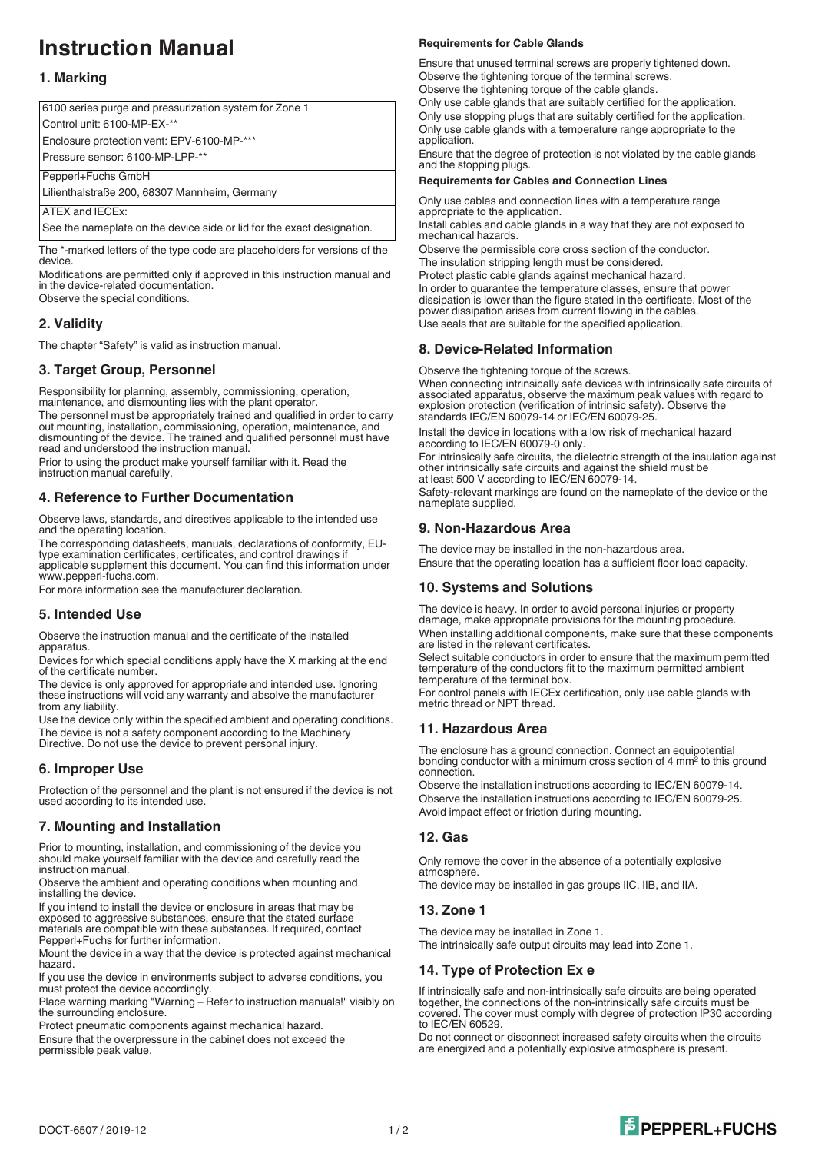# **Instruction Manual**

# **1. Marking**

6100 series purge and pressurization system for Zone 1 Control unit: 6100-MP-EX-\*\* Enclosure protection vent: EPV-6100-MP-\*\*\* Pressure sensor: 6100-MP-LPP-\*\* Pepperl+Fuchs GmbH

Lilienthalstraße 200, 68307 Mannheim, Germany

ATEX and IECEx:

See the nameplate on the device side or lid for the exact designation.

The \*-marked letters of the type code are placeholders for versions of the device.

Modifications are permitted only if approved in this instruction manual and in the device-related documentation.

Observe the special conditions.

# **2. Validity**

The chapter "Safety" is valid as instruction manual.

# **3. Target Group, Personnel**

Responsibility for planning, assembly, commissioning, operation, maintenance, and dismounting lies with the plant operator. The personnel must be appropriately trained and qualified in order to carry out mounting, installation, commissioning, operation, maintenance, and dismounting of the device. The trained and qualified personnel must have read and understood the instruction manual.

Prior to using the product make yourself familiar with it. Read the instruction manual carefully.

## **4. Reference to Further Documentation**

Observe laws, standards, and directives applicable to the intended use and the operating location.

The corresponding datasheets, manuals, declarations of conformity, EUtype examination certificates, certificates, and control drawings if applicable supplement this document. You can find this information under www.pepperl-fuchs.com.

For more information see the manufacturer declaration.

## **5. Intended Use**

Observe the instruction manual and the certificate of the installed apparatus.

Devices for which special conditions apply have the X marking at the end of the certificate number.

The device is only approved for appropriate and intended use. Ignoring these instructions will void any warranty and absolve the manufacturer from any liability.

Use the device only within the specified ambient and operating conditions. The device is not a safety component according to the Machinery Directive. Do not use the device to prevent personal injury.

## **6. Improper Use**

Protection of the personnel and the plant is not ensured if the device is not used according to its intended use.

## **7. Mounting and Installation**

Prior to mounting, installation, and commissioning of the device you should make yourself familiar with the device and carefully read the instruction manual.

Observe the ambient and operating conditions when mounting and installing the device.

If you intend to install the device or enclosure in areas that may be exposed to aggressive substances, ensure that the stated surface materials are compatible with these substances. If required, contact Pepperl+Fuchs for further information.

Mount the device in a way that the device is protected against mechanical hazard.

If you use the device in environments subject to adverse conditions, you must protect the device accordingly.

Place warning marking "Warning – Refer to instruction manuals!" visibly on the surrounding enclosure.

Protect pneumatic components against mechanical hazard.

Ensure that the overpressure in the cabinet does not exceed the permissible peak value.

#### **Requirements for Cable Glands**

Ensure that unused terminal screws are properly tightened down. Observe the tightening torque of the terminal screws. Observe the tightening torque of the cable glands.

Only use cable glands that are suitably certified for the application. Only use stopping plugs that are suitably certified for the application. Only use cable glands with a temperature range appropriate to the application.

Ensure that the degree of protection is not violated by the cable glands and the stopping plugs.

#### **Requirements for Cables and Connection Lines**

Only use cables and connection lines with a temperature range appropriate to the application.

Install cables and cable glands in a way that they are not exposed to mechanical hazards.

Observe the permissible core cross section of the conductor. The insulation stripping length must be considered.

Protect plastic cable glands against mechanical hazard.

In order to guarantee the temperature classes, ensure that power dissipation is lower than the figure stated in the certificate. Most of the power dissipation arises from current flowing in the cables. Use seals that are suitable for the specified application.

## **8. Device-Related Information**

Observe the tightening torque of the screws.

When connecting intrinsically safe devices with intrinsically safe circuits of associated apparatus, observe the maximum peak values with regard to explosion protection (verification of intrinsic safety). Observe the standards IEC/EN 60079-14 or IEC/EN 60079-25.

Install the device in locations with a low risk of mechanical hazard according to IEC/EN 60079-0 only.

For intrinsically safe circuits, the dielectric strength of the insulation against other intrinsically safe circuits and against the shield must be at least 500 V according to IEC/EN 60079-14.

Safety-relevant markings are found on the nameplate of the device or the nameplate supplied.

# **9. Non-Hazardous Area**

The device may be installed in the non-hazardous area. Ensure that the operating location has a sufficient floor load capacity.

## **10. Systems and Solutions**

The device is heavy. In order to avoid personal injuries or property damage, make appropriate provisions for the mounting procedure. When installing additional components, make sure that these components are listed in the relevant certificates.

Select suitable conductors in order to ensure that the maximum permitted temperature of the conductors fit to the maximum permitted ambient temperature of the terminal box.

For control panels with IECEx certification, only use cable glands with metric thread or NPT thread.

## **11. Hazardous Area**

The enclosure has a ground connection. Connect an equipotential bonding conductor with a minimum cross section of 4 mm<sup>2</sup> to this ground connection.

Observe the installation instructions according to IEC/EN 60079-14. Observe the installation instructions according to IEC/EN 60079-25. Avoid impact effect or friction during mounting.

## **12. Gas**

Only remove the cover in the absence of a potentially explosive atmosphere.

The device may be installed in gas groups IIC, IIB, and IIA.

## **13. Zone 1**

The device may be installed in Zone 1.

The intrinsically safe output circuits may lead into Zone 1.

## **14. Type of Protection Ex e**

If intrinsically safe and non-intrinsically safe circuits are being operated together, the connections of the non-intrinsically safe circuits must be covered. The cover must comply with degree of protection IP30 according to IEC/EN 60529.

Do not connect or disconnect increased safety circuits when the circuits are energized and a potentially explosive atmosphere is present.